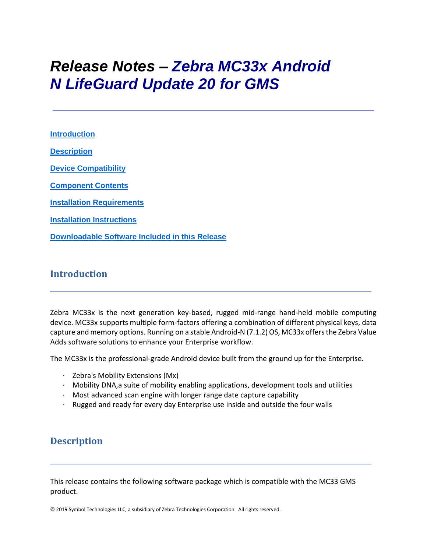# *Release Notes – Zebra MC33x Android N LifeGuard Update 20 for GMS*

**[Introduction](#page-0-0) [Description](#page-0-1) [Device Compatibility](#page-17-0) [Component Contents](#page-1-0) [Installation Requirements](#page-19-0) [Installation Instructions](#page-20-0) [Downloadable Software Included in this Release](#page-22-0)**

## <span id="page-0-0"></span>**Introduction**

Zebra MC33x is the next generation key-based, rugged mid-range hand-held mobile computing device. MC33x supports multiple form-factors offering a combination of different physical keys, data capture and memory options. Running on a stable Android-N (7.1.2) OS, MC33x offers the Zebra Value Adds software solutions to enhance your Enterprise workflow.

The MC33x is the professional-grade Android device built from the ground up for the Enterprise.

- · Zebra's Mobility Extensions (Mx)
- · Mobility DNA,a suite of mobility enabling applications, development tools and utilities
- $\cdot$  Most advanced scan engine with longer range date capture capability
- · Rugged and ready for every day Enterprise use inside and outside the four walls

## <span id="page-0-1"></span>**Description**

This release contains the following software package which is compatible with the MC33 GMS product.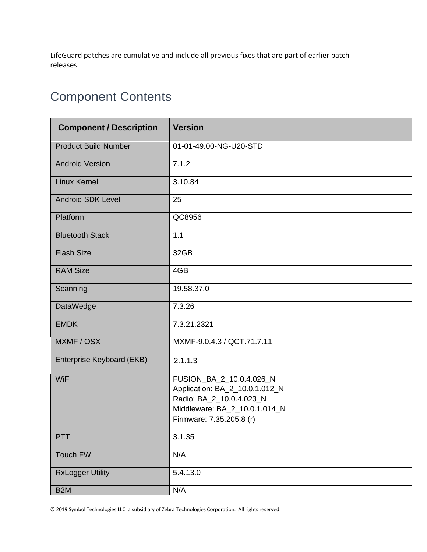LifeGuard patches are cumulative and include all previous fixes that are part of earlier patch releases.

## <span id="page-1-0"></span>Component Contents

| <b>Component / Description</b> | <b>Version</b>                                                                                                                                      |  |
|--------------------------------|-----------------------------------------------------------------------------------------------------------------------------------------------------|--|
| <b>Product Build Number</b>    | 01-01-49.00-NG-U20-STD                                                                                                                              |  |
| <b>Android Version</b>         | 7.1.2                                                                                                                                               |  |
| <b>Linux Kernel</b>            | 3.10.84                                                                                                                                             |  |
| <b>Android SDK Level</b>       | 25                                                                                                                                                  |  |
| Platform                       | QC8956                                                                                                                                              |  |
| <b>Bluetooth Stack</b>         | 1.1                                                                                                                                                 |  |
| <b>Flash Size</b>              | 32GB                                                                                                                                                |  |
| <b>RAM Size</b>                | 4GB                                                                                                                                                 |  |
| Scanning                       | 19.58.37.0                                                                                                                                          |  |
| <b>DataWedge</b>               | 7.3.26                                                                                                                                              |  |
| <b>EMDK</b>                    | 7.3.21.2321                                                                                                                                         |  |
| MXMF / OSX                     | MXMF-9.0.4.3 / QCT.71.7.11                                                                                                                          |  |
| Enterprise Keyboard (EKB)      | 2.1.1.3                                                                                                                                             |  |
| WiFi                           | FUSION_BA_2_10.0.4.026_N<br>Application: BA_2_10.0.1.012_N<br>Radio: BA_2_10.0.4.023_N<br>Middleware: BA_2_10.0.1.014_N<br>Firmware: 7.35.205.8 (r) |  |
| <b>PTT</b>                     | 3.1.35                                                                                                                                              |  |
| Touch FW                       | N/A                                                                                                                                                 |  |
| <b>RxLogger Utility</b>        | 5.4.13.0                                                                                                                                            |  |
| B <sub>2</sub> M               | N/A                                                                                                                                                 |  |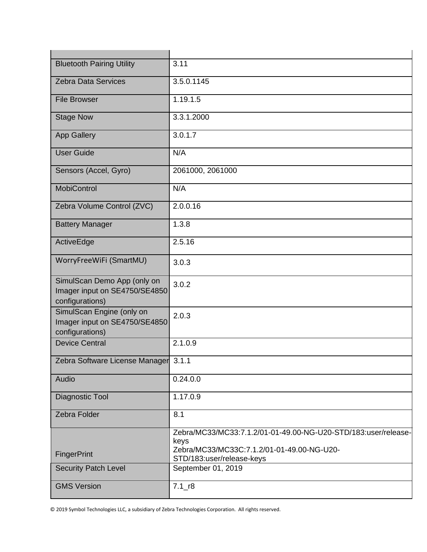| <b>Bluetooth Pairing Utility</b>                                                | 3.11                                                                                                                                              |
|---------------------------------------------------------------------------------|---------------------------------------------------------------------------------------------------------------------------------------------------|
| <b>Zebra Data Services</b>                                                      | 3.5.0.1145                                                                                                                                        |
| <b>File Browser</b>                                                             | 1.19.1.5                                                                                                                                          |
| <b>Stage Now</b>                                                                | 3.3.1.2000                                                                                                                                        |
| <b>App Gallery</b>                                                              | 3.0.1.7                                                                                                                                           |
| <b>User Guide</b>                                                               | N/A                                                                                                                                               |
| Sensors (Accel, Gyro)                                                           | 2061000, 2061000                                                                                                                                  |
| <b>MobiControl</b>                                                              | N/A                                                                                                                                               |
| Zebra Volume Control (ZVC)                                                      | 2.0.0.16                                                                                                                                          |
| <b>Battery Manager</b>                                                          | 1.3.8                                                                                                                                             |
| ActiveEdge                                                                      | 2.5.16                                                                                                                                            |
| WorryFreeWiFi (SmartMU)                                                         | 3.0.3                                                                                                                                             |
| SimulScan Demo App (only on<br>Imager input on SE4750/SE4850<br>configurations) | 3.0.2                                                                                                                                             |
| SimulScan Engine (only on<br>Imager input on SE4750/SE4850<br>configurations)   | 2.0.3                                                                                                                                             |
| <b>Device Central</b>                                                           | 2.1.0.9                                                                                                                                           |
| Zebra Software License Manager 3.1.1                                            |                                                                                                                                                   |
| Audio                                                                           | 0.24.0.0                                                                                                                                          |
| Diagnostic Tool                                                                 | 1.17.0.9                                                                                                                                          |
| Zebra Folder                                                                    | 8.1                                                                                                                                               |
| <b>FingerPrint</b>                                                              | Zebra/MC33/MC33:7.1.2/01-01-49.00-NG-U20-STD/183:user/release-<br>keys<br>Zebra/MC33/MC33C:7.1.2/01-01-49.00-NG-U20-<br>STD/183:user/release-keys |
| <b>Security Patch Level</b>                                                     | September 01, 2019                                                                                                                                |
| <b>GMS Version</b>                                                              | $7.1$ _r8                                                                                                                                         |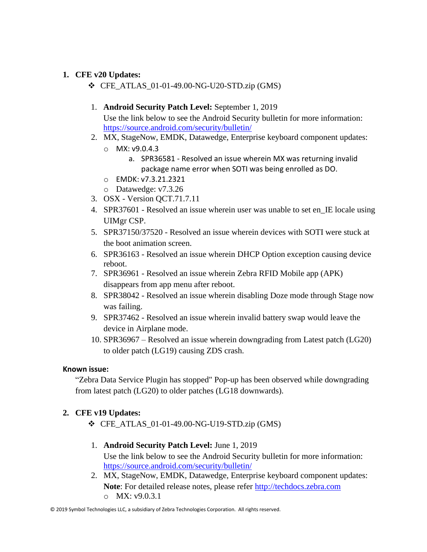#### **1. CFE v20 Updates:**

- ❖ CFE\_ATLAS\_01-01-49.00-NG-U20-STD.zip (GMS)
- 1. **Android Security Patch Level:** September 1, 2019

Use the link below to see the Android Security bulletin for more information: <https://source.android.com/security/bulletin/>

- 2. MX, StageNow, EMDK, Datawedge, Enterprise keyboard component updates:
	- $O$  MX: v9.0.4.3
		- a. SPR36581 Resolved an issue wherein MX was returning invalid package name error when SOTI was being enrolled as DO.
	- o EMDK: v7.3.21.2321
	- o Datawedge: v7.3.26
- 3. OSX Version QCT.71.7.11
- 4. SPR37601 Resolved an issue wherein user was unable to set en\_IE locale using UIMgr CSP.
- 5. SPR37150/37520 Resolved an issue wherein devices with SOTI were stuck at the boot animation screen.
- 6. SPR36163 Resolved an issue wherein DHCP Option exception causing device reboot.
- 7. SPR36961 Resolved an issue wherein Zebra RFID Mobile app (APK) disappears from app menu after reboot.
- 8. SPR38042 Resolved an issue wherein disabling Doze mode through Stage now was failing.
- 9. SPR37462 Resolved an issue wherein invalid battery swap would leave the device in Airplane mode.
- 10. SPR36967 Resolved an issue wherein downgrading from Latest patch (LG20) to older patch (LG19) causing ZDS crash.

#### **Known issue:**

"Zebra Data Service Plugin has stopped" Pop-up has been observed while downgrading from latest patch (LG20) to older patches (LG18 downwards).

#### **2. CFE v19 Updates:**

❖ CFE\_ATLAS\_01-01-49.00-NG-U19-STD.zip (GMS)

#### 1. **Android Security Patch Level:** June 1, 2019 Use the link below to see the Android Security bulletin for more information: <https://source.android.com/security/bulletin/>

2. MX, StageNow, EMDK, Datawedge, Enterprise keyboard component updates: **Note**: For detailed release notes, please refer [http://techdocs.zebra.com](http://techdocs.zebra.com/) o MX: v9.0.3.1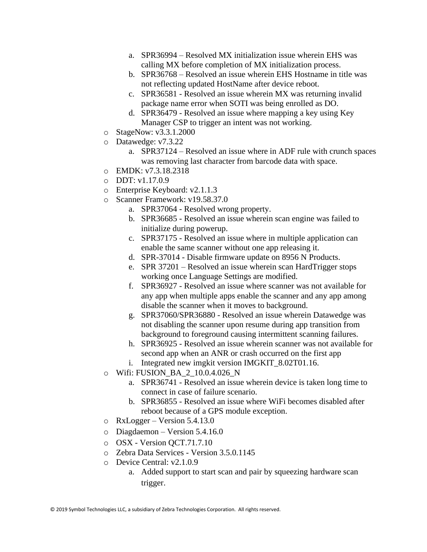- a. SPR36994 Resolved MX initialization issue wherein EHS was calling MX before completion of MX initialization process.
- b. SPR36768 Resolved an issue wherein EHS Hostname in title was not reflecting updated HostName after device reboot.
- c. SPR36581 Resolved an issue wherein MX was returning invalid package name error when SOTI was being enrolled as DO.
- d. SPR36479 Resolved an issue where mapping a key using Key Manager CSP to trigger an intent was not working.
- o StageNow: v3.3.1.2000
- o Datawedge: v7.3.22
	- a. SPR37124 Resolved an issue where in ADF rule with crunch spaces was removing last character from barcode data with space.
- o EMDK: v7.3.18.2318
- $O$  DDT: v1.17.0.9
- o Enterprise Keyboard: v2.1.1.3
- o Scanner Framework: v19.58.37.0
	- a. SPR37064 Resolved wrong property.
	- b. SPR36685 Resolved an issue wherein scan engine was failed to initialize during powerup.
	- c. SPR37175 Resolved an issue where in multiple application can enable the same scanner without one app releasing it.
	- d. SPR-37014 Disable firmware update on 8956 N Products.
	- e. SPR 37201 Resolved an issue wherein scan HardTrigger stops working once Language Settings are modified.
	- f. SPR36927 Resolved an issue where scanner was not available for any app when multiple apps enable the scanner and any app among disable the scanner when it moves to background.
	- g. SPR37060/SPR36880 Resolved an issue wherein Datawedge was not disabling the scanner upon resume during app transition from background to foreground causing intermittent scanning failures.
	- h. SPR36925 Resolved an issue wherein scanner was not available for second app when an ANR or crash occurred on the first app
	- i. Integrated new imgkit version IMGKIT\_8.02T01.16.
- o Wifi: FUSION\_BA\_2\_10.0.4.026\_N
	- a. SPR36741 Resolved an issue wherein device is taken long time to connect in case of failure scenario.
	- b. SPR36855 Resolved an issue where WiFi becomes disabled after reboot because of a GPS module exception.
- o RxLogger Version 5.4.13.0
- o Diagdaemon Version 5.4.16.0
- o OSX Version QCT.71.7.10
- o Zebra Data Services Version 3.5.0.1145
- o Device Central: v2.1.0.9
	- a. Added support to start scan and pair by squeezing hardware scan trigger.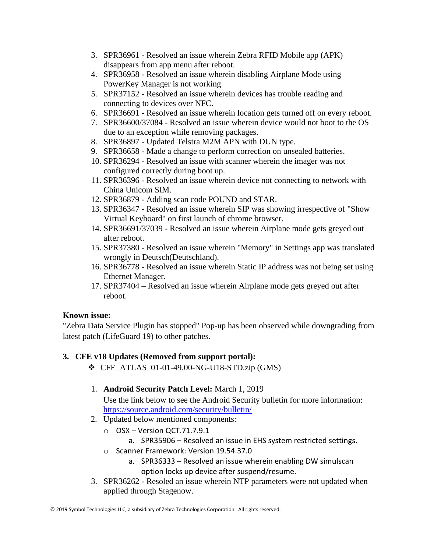- 3. SPR36961 Resolved an issue wherein Zebra RFID Mobile app (APK) disappears from app menu after reboot.
- 4. SPR36958 Resolved an issue wherein disabling Airplane Mode using PowerKey Manager is not working
- 5. SPR37152 Resolved an issue wherein devices has trouble reading and connecting to devices over NFC.
- 6. SPR36691 Resolved an issue wherein location gets turned off on every reboot.
- 7. SPR36600/37084 Resolved an issue wherein device would not boot to the OS due to an exception while removing packages.
- 8. SPR36897 Updated Telstra M2M APN with DUN type.
- 9. SPR36658 Made a change to perform correction on unsealed batteries.
- 10. SPR36294 Resolved an issue with scanner wherein the imager was not configured correctly during boot up.
- 11. SPR36396 Resolved an issue wherein device not connecting to network with China Unicom SIM.
- 12. SPR36879 Adding scan code POUND and STAR.
- 13. SPR36347 Resolved an issue wherein SIP was showing irrespective of "Show Virtual Keyboard" on first launch of chrome browser.
- 14. SPR36691/37039 Resolved an issue wherein Airplane mode gets greyed out after reboot.
- 15. SPR37380 Resolved an issue wherein "Memory" in Settings app was translated wrongly in Deutsch(Deutschland).
- 16. SPR36778 Resolved an issue wherein Static IP address was not being set using Ethernet Manager.
- 17. SPR37404 Resolved an issue wherein Airplane mode gets greyed out after reboot.

#### **Known issue:**

"Zebra Data Service Plugin has stopped" Pop-up has been observed while downgrading from latest patch (LifeGuard 19) to other patches.

## **3. CFE v18 Updates (Removed from support portal):**

❖ CFE\_ATLAS\_01-01-49.00-NG-U18-STD.zip (GMS)

## 1. **Android Security Patch Level:** March 1, 2019

Use the link below to see the Android Security bulletin for more information: <https://source.android.com/security/bulletin/>

- 2. Updated below mentioned components:
	- o OSX Version QCT.71.7.9.1
		- a. SPR35906 Resolved an issue in EHS system restricted settings.
	- o Scanner Framework: Version 19.54.37.0
		- a. SPR36333 Resolved an issue wherein enabling DW simulscan option locks up device after suspend/resume.
- 3. SPR36262 Resoled an issue wherein NTP parameters were not updated when applied through Stagenow.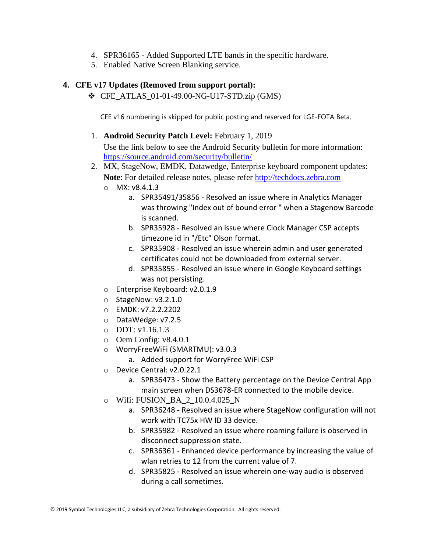- 4. SPR36165 Added Supported LTE bands in the specific hardware.
- 5. Enabled Native Screen Blanking service.

#### **4. CFE v17 Updates (Removed from support portal):**

 $\div$  CFE ATLAS 01-01-49.00-NG-U17-STD.zip (GMS)

CFE v16 numbering is skipped for public posting and reserved for LGE-FOTA Beta.

1. **Android Security Patch Level:** February 1, 2019

Use the link below to see the Android Security bulletin for more information: <https://source.android.com/security/bulletin/>

- 2. MX, StageNow, EMDK, Datawedge, Enterprise keyboard component updates: **Note**: For detailed release notes, please refer [http://techdocs.zebra.com](http://techdocs.zebra.com/)
	- o MX: v8.4.1.3
		- a. SPR35491/35856 Resolved an issue where in Analytics Manager was throwing "Index out of bound error " when a Stagenow Barcode is scanned.
		- b. SPR35928 Resolved an issue where Clock Manager CSP accepts timezone id in "/Etc" Olson format.
		- c. SPR35908 Resolved an issue wherein admin and user generated certificates could not be downloaded from external server.
		- d. SPR35855 Resolved an issue where in Google Keyboard settings was not persisting.
	- o Enterprise Keyboard: v2.0.1.9
	- o StageNow: v3.2.1.0
	- o EMDK: v7.2.2.2202
	- o DataWedge: v7.2.5
	- o DDT: v1.16.1.3
	- o Oem Config: v8.4.0.1
	- o WorryFreeWiFi (SMARTMU): v3.0.3
		- a. Added support for WorryFree WiFi CSP
	- o Device Central: v2.0.22.1
		- a. SPR36473 Show the Battery percentage on the Device Central App main screen when DS3678-ER connected to the mobile device.
	- o Wifi: FUSION\_BA\_2\_10.0.4.025\_N
		- a. SPR36248 Resolved an issue where StageNow configuration will not work with TC75x HW ID 33 device.
		- b. SPR35982 Resolved an issue where roaming failure is observed in disconnect suppression state.
		- c. SPR36361 Enhanced device performance by increasing the value of wlan retries to 12 from the current value of 7.
		- d. SPR35825 Resolved an issue wherein one-way audio is observed during a call sometimes.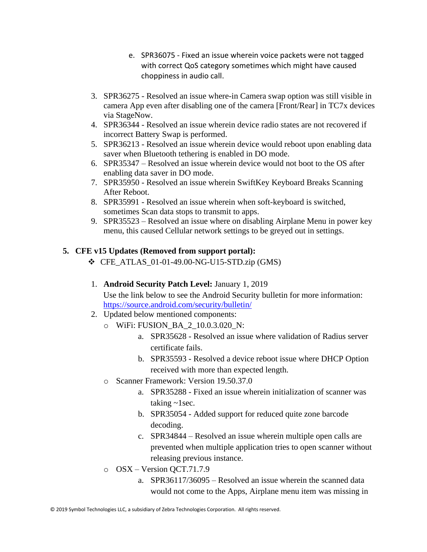- e. SPR36075 Fixed an issue wherein voice packets were not tagged with correct QoS category sometimes which might have caused choppiness in audio call.
- 3. SPR36275 Resolved an issue where-in Camera swap option was still visible in camera App even after disabling one of the camera [Front/Rear] in TC7x devices via StageNow.
- 4. SPR36344 Resolved an issue wherein device radio states are not recovered if incorrect Battery Swap is performed.
- 5. SPR36213 Resolved an issue wherein device would reboot upon enabling data saver when Bluetooth tethering is enabled in DO mode.
- 6. SPR35347 Resolved an issue wherein device would not boot to the OS after enabling data saver in DO mode.
- 7. SPR35950 Resolved an issue wherein SwiftKey Keyboard Breaks Scanning After Reboot.
- 8. SPR35991 Resolved an issue wherein when soft-keyboard is switched, sometimes Scan data stops to transmit to apps.
- 9. SPR35523 Resolved an issue where on disabling Airplane Menu in power key menu, this caused Cellular network settings to be greyed out in settings.

## **5. CFE v15 Updates (Removed from support portal):**

- $\div$  CFE ATLAS 01-01-49.00-NG-U15-STD.zip (GMS)
- 1. **Android Security Patch Level:** January 1, 2019

Use the link below to see the Android Security bulletin for more information: <https://source.android.com/security/bulletin/>

- 2. Updated below mentioned components:
	- o WiFi: FUSION\_BA\_2\_10.0.3.020\_N:
		- a. SPR35628 Resolved an issue where validation of Radius server certificate fails.
		- b. SPR35593 Resolved a device reboot issue where DHCP Option received with more than expected length.
	- o Scanner Framework: Version 19.50.37.0
		- a. SPR35288 Fixed an issue wherein initialization of scanner was taking  $\sim$ 1sec.
		- b. SPR35054 Added support for reduced quite zone barcode decoding.
		- c. SPR34844 Resolved an issue wherein multiple open calls are prevented when multiple application tries to open scanner without releasing previous instance.
	- o OSX Version QCT.71.7.9
		- a. SPR36117/36095 Resolved an issue wherein the scanned data would not come to the Apps, Airplane menu item was missing in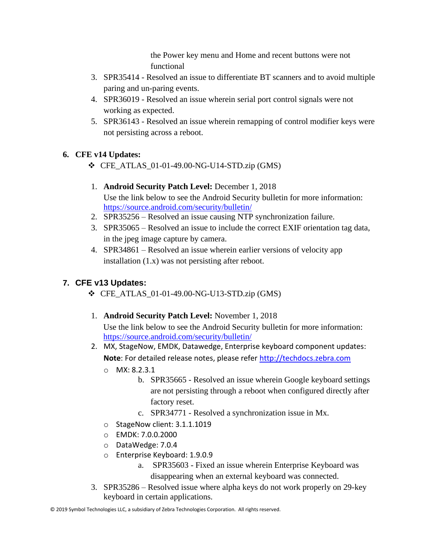the Power key menu and Home and recent buttons were not functional

- 3. SPR35414 Resolved an issue to differentiate BT scanners and to avoid multiple paring and un-paring events.
- 4. SPR36019 Resolved an issue wherein serial port control signals were not working as expected.
- 5. SPR36143 Resolved an issue wherein remapping of control modifier keys were not persisting across a reboot.

## **6. CFE v14 Updates:**

- $\div$  CFE ATLAS 01-01-49.00-NG-U14-STD.zip (GMS)
- 1. **Android Security Patch Level:** December 1, 2018 Use the link below to see the Android Security bulletin for more information: <https://source.android.com/security/bulletin/>
- 2. SPR35256 Resolved an issue causing NTP synchronization failure.
- 3. SPR35065 Resolved an issue to include the correct EXIF orientation tag data, in the jpeg image capture by camera.
- 4. SPR34861 Resolved an issue wherein earlier versions of velocity app installation (1.x) was not persisting after reboot.

## **7. CFE v13 Updates:**

- ❖ CFE\_ATLAS\_01-01-49.00-NG-U13-STD.zip (GMS)
- 1. **Android Security Patch Level:** November 1, 2018 Use the link below to see the Android Security bulletin for more information: <https://source.android.com/security/bulletin/>
- 2. MX, StageNow, EMDK, Datawedge, Enterprise keyboard component updates: **Note**: For detailed release notes, please refer [http://techdocs.zebra.com](http://techdocs.zebra.com/)
	- $O$  MX: 8.2.3.1
		- b. SPR35665 Resolved an issue wherein Google keyboard settings are not persisting through a reboot when configured directly after factory reset.
		- c. SPR34771 Resolved a synchronization issue in Mx.
	- o StageNow client: 3.1.1.1019
	- o EMDK: 7.0.0.2000
	- o DataWedge: 7.0.4
	- o Enterprise Keyboard: 1.9.0.9
		- a. SPR35603 Fixed an issue wherein Enterprise Keyboard was disappearing when an external keyboard was connected.
- 3. SPR35286 Resolved issue where alpha keys do not work properly on 29-key keyboard in certain applications.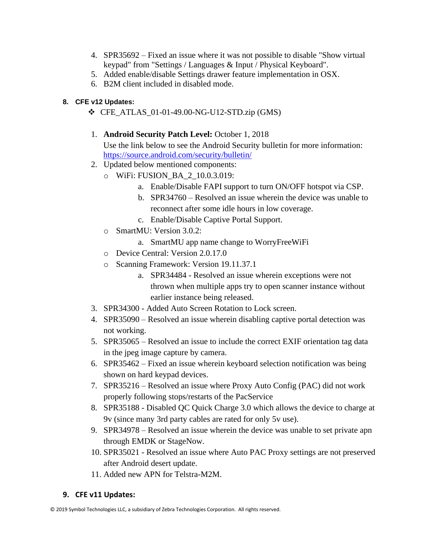- 4. SPR35692 Fixed an issue where it was not possible to disable "Show virtual keypad" from "Settings / Languages & Input / Physical Keyboard".
- 5. Added enable/disable Settings drawer feature implementation in OSX.
- 6. B2M client included in disabled mode.

## **8. CFE v12 Updates:**

- ❖ CFE\_ATLAS\_01-01-49.00-NG-U12-STD.zip (GMS)
- 1. **Android Security Patch Level:** October 1, 2018 Use the link below to see the Android Security bulletin for more information: <https://source.android.com/security/bulletin/>
- 2. Updated below mentioned components:
	- o WiFi: FUSION\_BA\_2\_10.0.3.019:
		- a. Enable/Disable FAPI support to turn ON/OFF hotspot via CSP.
		- b. SPR34760 Resolved an issue wherein the device was unable to reconnect after some idle hours in low coverage.
		- c. Enable/Disable Captive Portal Support.
	- o SmartMU: Version 3.0.2:
		- a. SmartMU app name change to WorryFreeWiFi
	- o Device Central: Version 2.0.17.0
	- o Scanning Framework: Version 19.11.37.1
		- a. SPR34484 Resolved an issue wherein exceptions were not thrown when multiple apps try to open scanner instance without earlier instance being released.
- 3. SPR34300 Added Auto Screen Rotation to Lock screen.
- 4. SPR35090 Resolved an issue wherein disabling captive portal detection was not working.
- 5. SPR35065 Resolved an issue to include the correct EXIF orientation tag data in the jpeg image capture by camera.
- 6. SPR35462 Fixed an issue wherein keyboard selection notification was being shown on hard keypad devices.
- 7. SPR35216 Resolved an issue where Proxy Auto Config (PAC) did not work properly following stops/restarts of the PacService
- 8. SPR35188 Disabled QC Quick Charge 3.0 which allows the device to charge at 9v (since many 3rd party cables are rated for only 5v use).
- 9. SPR34978 Resolved an issue wherein the device was unable to set private apn through EMDK or StageNow.
- 10. SPR35021 Resolved an issue where Auto PAC Proxy settings are not preserved after Android desert update.
- 11. Added new APN for Telstra-M2M.

#### **9. CFE v11 Updates:**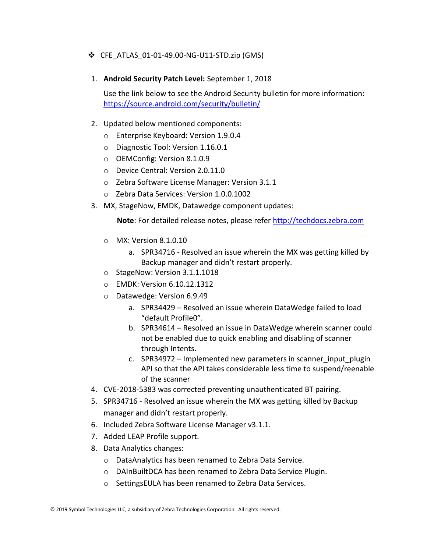#### ❖ CFE\_ATLAS\_01-01-49.00-NG-U11-STD.zip (GMS)

1. **Android Security Patch Level:** September 1, 2018

Use the link below to see the Android Security bulletin for more information: <https://source.android.com/security/bulletin/>

#### 2. Updated below mentioned components:

- o Enterprise Keyboard: Version 1.9.0.4
- o Diagnostic Tool: Version 1.16.0.1
- o OEMConfig: Version 8.1.0.9
- o Device Central: Version 2.0.11.0
- o Zebra Software License Manager: Version 3.1.1
- o Zebra Data Services: Version 1.0.0.1002
- 3. MX, StageNow, EMDK, Datawedge component updates:

 **Note**: For detailed release notes, please refer [http://techdocs.zebra.com](http://techdocs.zebra.com/)

- o MX: Version 8.1.0.10
	- a. SPR34716 Resolved an issue wherein the MX was getting killed by Backup manager and didn't restart properly.
- o StageNow: Version 3.1.1.1018
- o EMDK: Version 6.10.12.1312
- o Datawedge: Version 6.9.49
	- a. SPR34429 Resolved an issue wherein DataWedge failed to load "default Profile0".
	- b. SPR34614 Resolved an issue in DataWedge wherein scanner could not be enabled due to quick enabling and disabling of scanner through Intents.
	- c. SPR34972 Implemented new parameters in scanner input plugin API so that the API takes considerable less time to suspend/reenable of the scanner
- 4. CVE-2018-5383 was corrected preventing unauthenticated BT pairing.
- 5. SPR34716 Resolved an issue wherein the MX was getting killed by Backup manager and didn't restart properly.
- 6. Included Zebra Software License Manager v3.1.1.
- 7. Added LEAP Profile support.
- 8. Data Analytics changes:
	- o DataAnalytics has been renamed to Zebra Data Service.
	- o DAInBuiltDCA has been renamed to Zebra Data Service Plugin.
	- o SettingsEULA has been renamed to Zebra Data Services.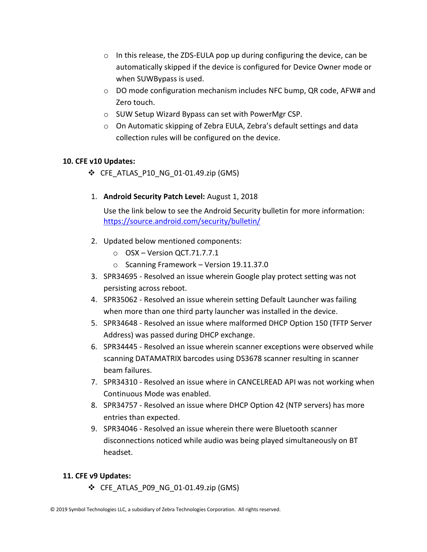- $\circ$  In this release, the ZDS-EULA pop up during configuring the device, can be automatically skipped if the device is configured for Device Owner mode or when SUWBypass is used.
- $\circ$  DO mode configuration mechanism includes NFC bump, QR code, AFW# and Zero touch.
- o SUW Setup Wizard Bypass can set with PowerMgr CSP.
- o On Automatic skipping of Zebra EULA, Zebra's default settings and data collection rules will be configured on the device.

#### **10. CFE v10 Updates:**

- $\div$  CFE ATLAS P10 NG 01-01.49.zip (GMS)
- 1. **Android Security Patch Level:** August 1, 2018

Use the link below to see the Android Security bulletin for more information: <https://source.android.com/security/bulletin/>

- 2. Updated below mentioned components:
	- o OSX Version QCT.71.7.7.1
	- o Scanning Framework Version 19.11.37.0
- 3. SPR34695 Resolved an issue wherein Google play protect setting was not persisting across reboot.
- 4. SPR35062 Resolved an issue wherein setting Default Launcher was failing when more than one third party launcher was installed in the device.
- 5. SPR34648 Resolved an issue where malformed DHCP Option 150 (TFTP Server Address) was passed during DHCP exchange.
- 6. SPR34445 Resolved an issue wherein scanner exceptions were observed while scanning DATAMATRIX barcodes using DS3678 scanner resulting in scanner beam failures.
- 7. SPR34310 Resolved an issue where in CANCELREAD API was not working when Continuous Mode was enabled.
- 8. SPR34757 Resolved an issue where DHCP Option 42 (NTP servers) has more entries than expected.
- 9. SPR34046 Resolved an issue wherein there were Bluetooth scanner disconnections noticed while audio was being played simultaneously on BT headset.

#### **11. CFE v9 Updates:**

 $\div$  CFE ATLAS P09 NG 01-01.49.zip (GMS)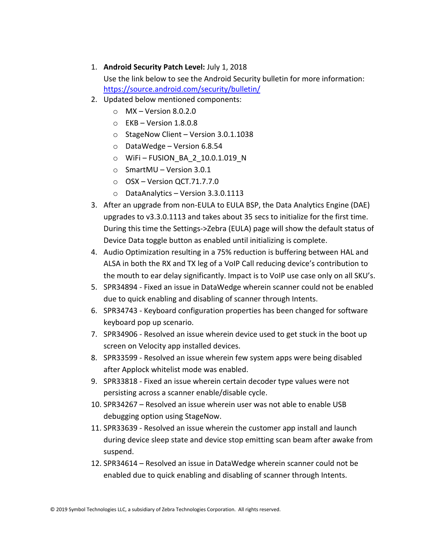- 1. **Android Security Patch Level:** July 1, 2018 Use the link below to see the Android Security bulletin for more information: <https://source.android.com/security/bulletin/>
- 2. Updated below mentioned components:
	- $\circ$  MX Version 8.0.2.0
	- $\circ$  EKB Version 1.8.0.8
	- o StageNow Client Version 3.0.1.1038
	- o DataWedge Version 6.8.54
	- o WiFi FUSION\_BA\_2\_10.0.1.019\_N
	- o SmartMU Version 3.0.1
	- $\circ$  OSX Version QCT.71.7.7.0
	- o DataAnalytics Version 3.3.0.1113
- 3. After an upgrade from non-EULA to EULA BSP, the Data Analytics Engine (DAE) upgrades to v3.3.0.1113 and takes about 35 secs to initialize for the first time. During this time the Settings->Zebra (EULA) page will show the default status of Device Data toggle button as enabled until initializing is complete.
- 4. Audio Optimization resulting in a 75% reduction is buffering between HAL and ALSA in both the RX and TX leg of a VoIP Call reducing device's contribution to the mouth to ear delay significantly. Impact is to VoIP use case only on all SKU's.
- 5. SPR34894 Fixed an issue in DataWedge wherein scanner could not be enabled due to quick enabling and disabling of scanner through Intents.
- 6. SPR34743 Keyboard configuration properties has been changed for software keyboard pop up scenario.
- 7. SPR34906 Resolved an issue wherein device used to get stuck in the boot up screen on Velocity app installed devices.
- 8. SPR33599 Resolved an issue wherein few system apps were being disabled after Applock whitelist mode was enabled.
- 9. SPR33818 Fixed an issue wherein certain decoder type values were not persisting across a scanner enable/disable cycle.
- 10. SPR34267 Resolved an issue wherein user was not able to enable USB debugging option using StageNow.
- 11. SPR33639 Resolved an issue wherein the customer app install and launch during device sleep state and device stop emitting scan beam after awake from suspend.
- 12. SPR34614 Resolved an issue in DataWedge wherein scanner could not be enabled due to quick enabling and disabling of scanner through Intents.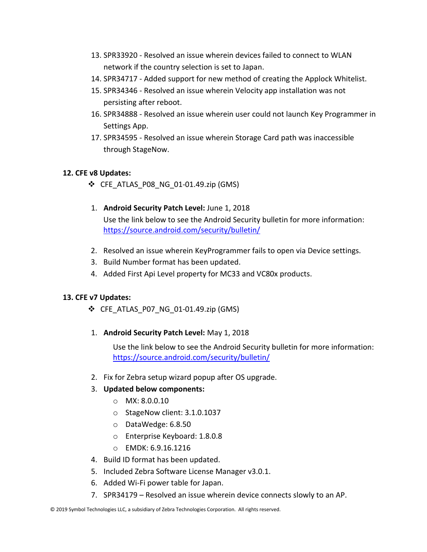- 13. SPR33920 Resolved an issue wherein devices failed to connect to WLAN network if the country selection is set to Japan.
- 14. SPR34717 Added support for new method of creating the Applock Whitelist.
- 15. SPR34346 Resolved an issue wherein Velocity app installation was not persisting after reboot.
- 16. SPR34888 Resolved an issue wherein user could not launch Key Programmer in Settings App.
- 17. SPR34595 Resolved an issue wherein Storage Card path was inaccessible through StageNow.

#### **12. CFE v8 Updates:**

❖ CFE\_ATLAS\_P08\_NG\_01-01.49.zip (GMS)

#### 1. **Android Security Patch Level:** June 1, 2018

Use the link below to see the Android Security bulletin for more information: <https://source.android.com/security/bulletin/>

- 2. Resolved an issue wherein KeyProgrammer fails to open via Device settings.
- 3. Build Number format has been updated.
- 4. Added First Api Level property for MC33 and VC80x products.

#### **13. CFE v7 Updates:**

- ❖ CFE\_ATLAS\_P07\_NG\_01-01.49.zip (GMS)
- 1. **Android Security Patch Level:** May 1, 2018

Use the link below to see the Android Security bulletin for more information: <https://source.android.com/security/bulletin/>

2. Fix for Zebra setup wizard popup after OS upgrade.

#### 3. **Updated below components:**

- o MX: 8.0.0.10
- o StageNow client: 3.1.0.1037
- o DataWedge: 6.8.50
- o Enterprise Keyboard: 1.8.0.8
- o EMDK: 6.9.16.1216
- 4. Build ID format has been updated.
- 5. Included Zebra Software License Manager v3.0.1.
- 6. Added Wi-Fi power table for Japan.
- 7. SPR34179 Resolved an issue wherein device connects slowly to an AP.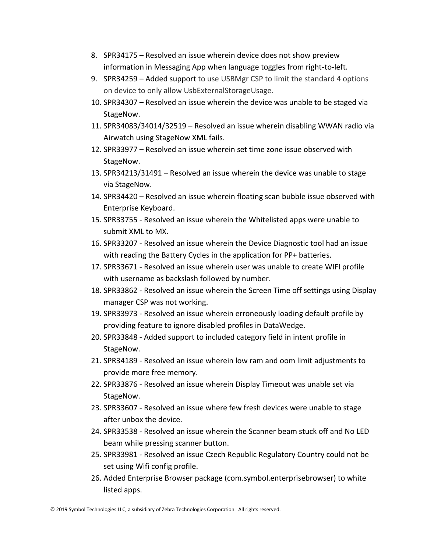- 8. SPR34175 Resolved an issue wherein device does not show preview information in Messaging App when language toggles from right-to-left.
- 9. SPR34259 Added support to use USBMgr CSP to limit the standard 4 options on device to only allow UsbExternalStorageUsage.
- 10. SPR34307 Resolved an issue wherein the device was unable to be staged via StageNow.
- 11. SPR34083/34014/32519 Resolved an issue wherein disabling WWAN radio via Airwatch using StageNow XML fails.
- 12. SPR33977 Resolved an issue wherein set time zone issue observed with StageNow.
- 13. SPR34213/31491 Resolved an issue wherein the device was unable to stage via StageNow.
- 14. SPR34420 Resolved an issue wherein floating scan bubble issue observed with Enterprise Keyboard.
- 15. SPR33755 Resolved an issue wherein the Whitelisted apps were unable to submit XML to MX.
- 16. SPR33207 Resolved an issue wherein the Device Diagnostic tool had an issue with reading the Battery Cycles in the application for PP+ batteries.
- 17. SPR33671 Resolved an issue wherein user was unable to create WIFI profile with username as backslash followed by number.
- 18. SPR33862 Resolved an issue wherein the Screen Time off settings using Display manager CSP was not working.
- 19. SPR33973 Resolved an issue wherein erroneously loading default profile by providing feature to ignore disabled profiles in DataWedge.
- 20. SPR33848 Added support to included category field in intent profile in StageNow.
- 21. SPR34189 Resolved an issue wherein low ram and oom limit adjustments to provide more free memory.
- 22. SPR33876 Resolved an issue wherein Display Timeout was unable set via StageNow.
- 23. SPR33607 Resolved an issue where few fresh devices were unable to stage after unbox the device.
- 24. SPR33538 Resolved an issue wherein the Scanner beam stuck off and No LED beam while pressing scanner button.
- 25. SPR33981 Resolved an issue Czech Republic Regulatory Country could not be set using Wifi config profile.
- 26. Added Enterprise Browser package (com.symbol.enterprisebrowser) to white listed apps.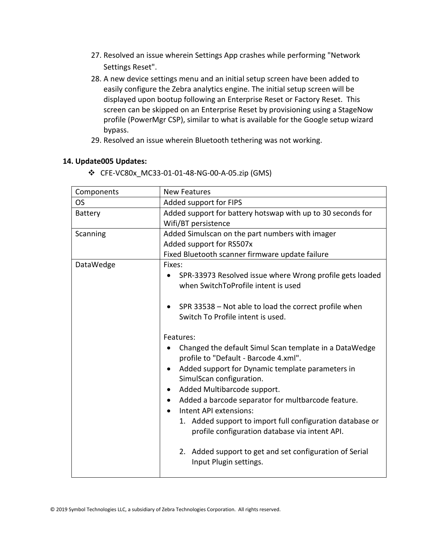- 27. Resolved an issue wherein Settings App crashes while performing "Network Settings Reset".
- 28. A new device settings menu and an initial setup screen have been added to easily configure the Zebra analytics engine. The initial setup screen will be displayed upon bootup following an Enterprise Reset or Factory Reset. This screen can be skipped on an Enterprise Reset by provisioning using a StageNow profile (PowerMgr CSP), similar to what is available for the Google setup wizard bypass.
- 29. Resolved an issue wherein Bluetooth tethering was not working.

#### **14. Update005 Updates:**

❖ CFE-VC80x\_MC33-01-01-48-NG-00-A-05.zip (GMS)

| Components | <b>New Features</b>                                             |  |
|------------|-----------------------------------------------------------------|--|
| <b>OS</b>  | Added support for FIPS                                          |  |
| Battery    | Added support for battery hotswap with up to 30 seconds for     |  |
|            | Wifi/BT persistence                                             |  |
| Scanning   | Added Simulscan on the part numbers with imager                 |  |
|            | Added support for RS507x                                        |  |
|            | Fixed Bluetooth scanner firmware update failure                 |  |
| DataWedge  | Fixes:                                                          |  |
|            | SPR-33973 Resolved issue where Wrong profile gets loaded        |  |
|            | when SwitchToProfile intent is used                             |  |
|            |                                                                 |  |
|            | SPR 33538 - Not able to load the correct profile when           |  |
|            | Switch To Profile intent is used.                               |  |
|            |                                                                 |  |
|            | Features:                                                       |  |
|            | Changed the default Simul Scan template in a DataWedge          |  |
|            | profile to "Default - Barcode 4.xml".                           |  |
|            | Added support for Dynamic template parameters in<br>٠           |  |
|            | SimulScan configuration.                                        |  |
|            | Added Multibarcode support.                                     |  |
|            | Added a barcode separator for multbarcode feature.<br>$\bullet$ |  |
|            | Intent API extensions:                                          |  |
|            | 1. Added support to import full configuration database or       |  |
|            | profile configuration database via intent API.                  |  |
|            |                                                                 |  |
|            | 2. Added support to get and set configuration of Serial         |  |
|            | Input Plugin settings.                                          |  |
|            |                                                                 |  |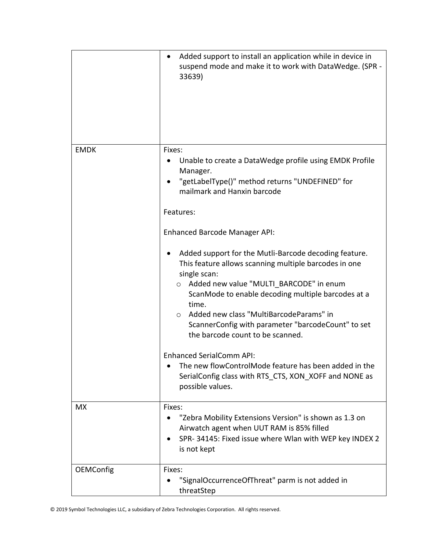|                  | Added support to install an application while in device in<br>٠<br>suspend mode and make it to work with DataWedge. (SPR -<br>33639)                                                                                                                                                                                                                                                                                                         |
|------------------|----------------------------------------------------------------------------------------------------------------------------------------------------------------------------------------------------------------------------------------------------------------------------------------------------------------------------------------------------------------------------------------------------------------------------------------------|
| <b>EMDK</b>      | Fixes:<br>Unable to create a DataWedge profile using EMDK Profile<br>Manager.<br>"getLabelType()" method returns "UNDEFINED" for<br>mailmark and Hanxin barcode<br>Features:                                                                                                                                                                                                                                                                 |
|                  | <b>Enhanced Barcode Manager API:</b><br>Added support for the Mutli-Barcode decoding feature.<br>This feature allows scanning multiple barcodes in one<br>single scan:<br>Added new value "MULTI BARCODE" in enum<br>$\circ$<br>ScanMode to enable decoding multiple barcodes at a<br>time.<br>Added new class "MultiBarcodeParams" in<br>$\Omega$<br>ScannerConfig with parameter "barcodeCount" to set<br>the barcode count to be scanned. |
|                  | <b>Enhanced SerialComm API:</b><br>The new flowControlMode feature has been added in the<br>SerialConfig class with RTS CTS, XON XOFF and NONE as<br>possible values.                                                                                                                                                                                                                                                                        |
| <b>MX</b>        | Fixes:<br>"Zebra Mobility Extensions Version" is shown as 1.3 on<br>Airwatch agent when UUT RAM is 85% filled<br>SPR-34145: Fixed issue where Wlan with WEP key INDEX 2<br>is not kept                                                                                                                                                                                                                                                       |
| <b>OEMConfig</b> | Fixes:<br>"SignalOccurrenceOfThreat" parm is not added in<br>threatStep                                                                                                                                                                                                                                                                                                                                                                      |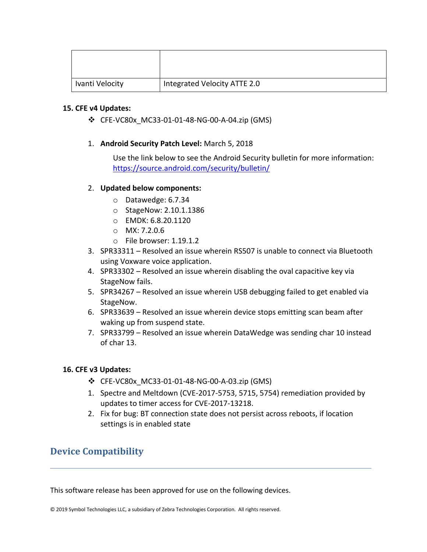| Ivanti Velocity | Integrated Velocity ATTE 2.0 |
|-----------------|------------------------------|

#### **15. CFE v4 Updates:**

- ❖ CFE-VC80x\_MC33-01-01-48-NG-00-A-04.zip (GMS)
- 1. **Android Security Patch Level:** March 5, 2018

Use the link below to see the Android Security bulletin for more information: <https://source.android.com/security/bulletin/>

#### 2. **Updated below components:**

- o Datawedge: 6.7.34
- o StageNow: 2.10.1.1386
- o EMDK: 6.8.20.1120
- o MX: 7.2.0.6
- o File browser: 1.19.1.2
- 3. SPR33311 Resolved an issue wherein RS507 is unable to connect via Bluetooth using Voxware voice application.
- 4. SPR33302 Resolved an issue wherein disabling the oval capacitive key via StageNow fails.
- 5. SPR34267 Resolved an issue wherein USB debugging failed to get enabled via StageNow.
- 6. SPR33639 Resolved an issue wherein device stops emitting scan beam after waking up from suspend state.
- 7. SPR33799 Resolved an issue wherein DataWedge was sending char 10 instead of char 13.

#### **16. CFE v3 Updates:**

- ❖ CFE-VC80x\_MC33-01-01-48-NG-00-A-03.zip (GMS)
- 1. Spectre and Meltdown (CVE-2017-5753, 5715, 5754) remediation provided by updates to timer access for CVE-2017-13218.
- 2. Fix for bug: BT connection state does not persist across reboots, if location settings is in enabled state

## <span id="page-17-0"></span>**Device Compatibility**

This software release has been approved for use on the following devices.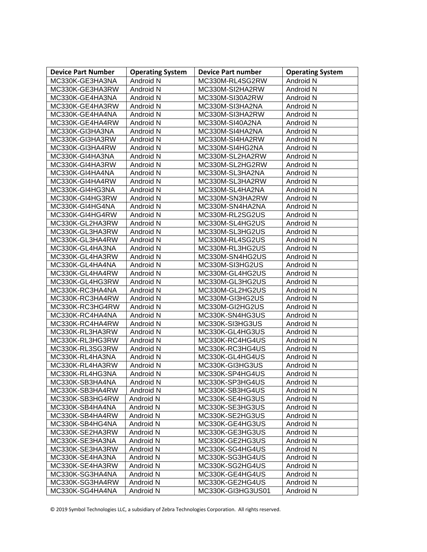| <b>Device Part Number</b> | <b>Operating System</b> | <b>Device Part number</b> | <b>Operating System</b> |
|---------------------------|-------------------------|---------------------------|-------------------------|
| MC330K-GE3HA3NA           | Android N               | MC330M-RL4SG2RW           | Android N               |
| MC330K-GE3HA3RW           | Android N               | MC330M-SI2HA2RW           | Android N               |
| MC330K-GE4HA3NA           | Android N               | MC330M-SI30A2RW           | Android N               |
| MC330K-GE4HA3RW           | Android N               | MC330M-SI3HA2NA           | Android N               |
| MC330K-GE4HA4NA           | Android N               | MC330M-SI3HA2RW           | Android N               |
| MC330K-GE4HA4RW           | Android N               | MC330M-SI40A2NA           | Android N               |
| MC330K-GI3HA3NA           | Android N               | MC330M-SI4HA2NA           | Android N               |
| MC330K-GI3HA3RW           | Android N               | MC330M-SI4HA2RW           | Android N               |
| MC330K-GI3HA4RW           | Android N               | MC330M-SI4HG2NA           | Android N               |
| MC330K-GI4HA3NA           | Android N               | MC330M-SL2HA2RW           | Android N               |
| MC330K-GI4HA3RW           | Android N               | MC330M-SL2HG2RW           | Android N               |
| MC330K-GI4HA4NA           | Android N               | MC330M-SL3HA2NA           | Android N               |
| MC330K-GI4HA4RW           | Android N               | MC330M-SL3HA2RW           | Android N               |
| MC330K-GI4HG3NA           | Android N               | MC330M-SL4HA2NA           | Android N               |
| MC330K-GI4HG3RW           | Android N               | MC330M-SN3HA2RW           | Android N               |
| MC330K-GI4HG4NA           | Android N               | MC330M-SN4HA2NA           | Android N               |
| MC330K-GI4HG4RW           | Android N               | MC330M-RL2SG2US           | Android N               |
| MC330K-GL2HA3RW           | Android N               | MC330M-SL4HG2US           | Android N               |
| MC330K-GL3HA3RW           | Android N               | MC330M-SL3HG2US           | Android N               |
| MC330K-GL3HA4RW           | Android N               | MC330M-RL4SG2US           | Android N               |
| MC330K-GL4HA3NA           | Android N               | MC330M-RL3HG2US           | Android N               |
| MC330K-GL4HA3RW           | Android N               | MC330M-SN4HG2US           | Android N               |
| MC330K-GL4HA4NA           | Android N               | MC330M-SI3HG2US           | Android N               |
| MC330K-GL4HA4RW           | Android N               | MC330M-GL4HG2US           | Android N               |
| MC330K-GL4HG3RW           | Android N               | MC330M-GL3HG2US           | Android N               |
| MC330K-RC3HA4NA           | Android N               | MC330M-GL2HG2US           | Android N               |
| MC330K-RC3HA4RW           | Android N               | MC330M-GI3HG2US           | Android N               |
| MC330K-RC3HG4RW           | Android N               | MC330M-GI2HG2US           | Android N               |
| MC330K-RC4HA4NA           | Android N               | MC330K-SN4HG3US           | Android N               |
| MC330K-RC4HA4RW           | Android N               | MC330K-SI3HG3US           | Android N               |
| MC330K-RL3HA3RW           | Android N               | MC330K-GL4HG3US           | Android N               |
| MC330K-RL3HG3RW           | Android N               | MC330K-RC4HG4US           | Android N               |
| MC330K-RL3SG3RW           | Android N               | MC330K-RC3HG4US           | Android N               |
| MC330K-RL4HA3NA           | Android N               | MC330K-GL4HG4US           | Android N               |
| MC330K-RL4HA3RW           | Android N               | MC330K-GI3HG3US           | Android N               |
| MC330K-RL4HG3NA           | Android N               | MC330K-SP4HG4US           | Android N               |
| MC330K-SB3HA4NA           | Android N               | MC330K-SP3HG4US           | Android N               |
| MC330K-SB3HA4RW           | Android N               | MC330K-SB3HG4US           | Android N               |
| MC330K-SB3HG4RW           | Android N               | MC330K-SE4HG3US           | Android N               |
| MC330K-SB4HA4NA           | Android N               | MC330K-SE3HG3US           | Android N               |
| MC330K-SB4HA4RW           | Android N               | MC330K-SE2HG3US           | Android N               |
| MC330K-SB4HG4NA           | Android N               | MC330K-GE4HG3US           | Android N               |
| MC330K-SE2HA3RW           | Android N               | MC330K-GE3HG3US           | Android N               |
| MC330K-SE3HA3NA           | Android N               | MC330K-GE2HG3US           | Android N               |
| MC330K-SE3HA3RW           | Android N               | MC330K-SG4HG4US           | Android N               |
| MC330K-SE4HA3NA           | Android N               | MC330K-SG3HG4US           | Android N               |
| MC330K-SE4HA3RW           | Android N               | MC330K-SG2HG4US           | Android N               |
| MC330K-SG3HA4NA           | Android N               | MC330K-GE4HG4US           | Android N               |
| MC330K-SG3HA4RW           | Android N               | MC330K-GE2HG4US           | Android N               |
| MC330K-SG4HA4NA           | Android N               | MC330K-GI3HG3US01         | Android N               |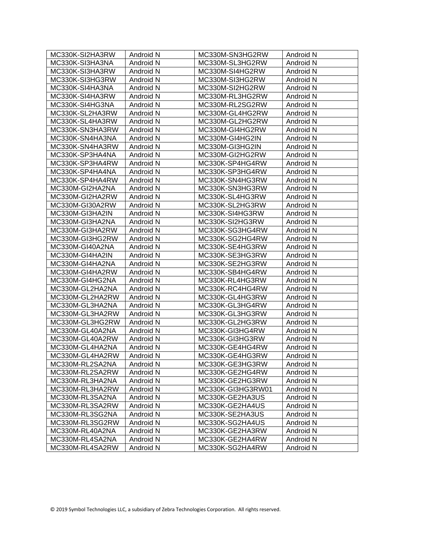<span id="page-19-0"></span>

| MC330K-SI2HA3RW | Android N        | MC330M-SN3HG2RW   | Android N        |
|-----------------|------------------|-------------------|------------------|
| MC330K-SI3HA3NA | Android N        | MC330M-SL3HG2RW   | Android N        |
| MC330K-SI3HA3RW | Android N        | MC330M-SI4HG2RW   | Android N        |
| MC330K-SI3HG3RW | Android N        | MC330M-SI3HG2RW   | Android N        |
| MC330K-SI4HA3NA | Android N        | MC330M-SI2HG2RW   | Android N        |
| MC330K-SI4HA3RW | Android N        | MC330M-RL3HG2RW   | Android N        |
| MC330K-SI4HG3NA | Android N        | MC330M-RL2SG2RW   | Android N        |
| MC330K-SL2HA3RW | Android N        | MC330M-GL4HG2RW   | Android N        |
| MC330K-SL4HA3RW | Android N        | MC330M-GL2HG2RW   | Android N        |
| MC330K-SN3HA3RW | Android N        | MC330M-GI4HG2RW   | Android N        |
| MC330K-SN4HA3NA | Android N        | MC330M-GI4HG2IN   | Android N        |
| MC330K-SN4HA3RW | Android N        | MC330M-GI3HG2IN   | Android N        |
| MC330K-SP3HA4NA | Android N        | MC330M-GI2HG2RW   | Android N        |
| MC330K-SP3HA4RW | Android N        | MC330K-SP4HG4RW   | Android N        |
| MC330K-SP4HA4NA | Android N        | MC330K-SP3HG4RW   | Android N        |
| MC330K-SP4HA4RW | Android N        | MC330K-SN4HG3RW   | Android N        |
| MC330M-GI2HA2NA | Android N        | MC330K-SN3HG3RW   | Android N        |
| MC330M-GI2HA2RW | Android N        | MC330K-SL4HG3RW   | Android N        |
| MC330M-GI30A2RW | Android N        | MC330K-SL2HG3RW   | Android N        |
| MC330M-GI3HA2IN | Android N        | MC330K-SI4HG3RW   | Android N        |
| MC330M-GI3HA2NA | Android N        | MC330K-SI2HG3RW   | Android N        |
| MC330M-GI3HA2RW | Android N        | MC330K-SG3HG4RW   | Android N        |
| MC330M-GI3HG2RW | Android N        | MC330K-SG2HG4RW   | Android N        |
| MC330M-GI40A2NA | Android N        | MC330K-SE4HG3RW   | Android N        |
| MC330M-GI4HA2IN | Android N        | MC330K-SE3HG3RW   | Android N        |
| MC330M-GI4HA2NA | Android N        | MC330K-SE2HG3RW   | Android N        |
| MC330M-GI4HA2RW | Android N        | MC330K-SB4HG4RW   | Android N        |
| MC330M-GI4HG2NA | Android N        | MC330K-RL4HG3RW   | Android N        |
| MC330M-GL2HA2NA | Android N        | MC330K-RC4HG4RW   | Android N        |
| MC330M-GL2HA2RW | Android N        | MC330K-GL4HG3RW   | Android N        |
| MC330M-GL3HA2NA | Android N        | MC330K-GL3HG4RW   | Android N        |
| MC330M-GL3HA2RW | Android N        | MC330K-GL3HG3RW   | Android N        |
| MC330M-GL3HG2RW | Android N        | MC330K-GL2HG3RW   | Android N        |
| MC330M-GL40A2NA | Android N        | MC330K-GI3HG4RW   | Android N        |
| MC330M-GL40A2RW | Android N        | MC330K-GI3HG3RW   | Android N        |
| MC330M-GL4HA2NA | Android N        | MC330K-GE4HG4RW   | Android N        |
| MC330M-GL4HA2RW | Android N        | MC330K-GE4HG3RW   | Android N        |
| MC330M-RL2SA2NA | <b>Android N</b> | MC330K-GE3HG3RW   | <b>Android N</b> |
| MC330M-RL2SA2RW | Android N        | MC330K-GE2HG4RW   | Android N        |
| MC330M-RL3HA2NA | Android N        | MC330K-GE2HG3RW   | Android N        |
| MC330M-RL3HA2RW | Android N        | MC330K-GI3HG3RW01 | Android N        |
| MC330M-RL3SA2NA | Android N        | MC330K-GE2HA3US   | Android N        |
| MC330M-RL3SA2RW | Android N        | MC330K-GE2HA4US   | Android N        |
| MC330M-RL3SG2NA | Android N        | MC330K-SE2HA3US   | Android N        |
| MC330M-RL3SG2RW | Android N        | MC330K-SG2HA4US   | Android N        |
| MC330M-RL40A2NA | Android N        | MC330K-GE2HA3RW   | Android N        |
| MC330M-RL4SA2NA | Android N        | MC330K-GE2HA4RW   | Android N        |
| MC330M-RL4SA2RW | Android N        | MC330K-SG2HA4RW   | Android N        |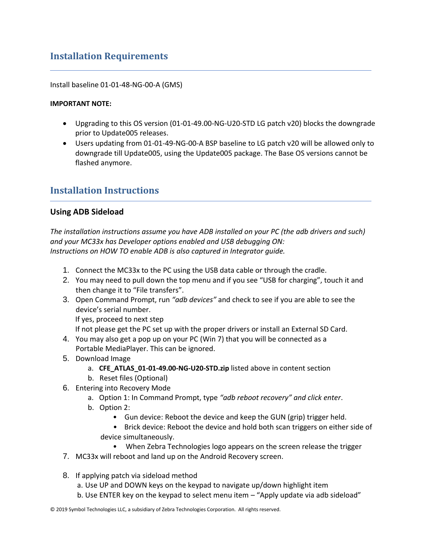## **Installation Requirements**

Install baseline 01-01-48-NG-00-A (GMS)

#### **IMPORTANT NOTE:**

- Upgrading to this OS version (01-01-49.00-NG-U20-STD LG patch v20) blocks the downgrade prior to Update005 releases.
- Users updating from 01-01-49-NG-00-A BSP baseline to LG patch v20 will be allowed only to downgrade till Update005, using the Update005 package. The Base OS versions cannot be flashed anymore.

## <span id="page-20-0"></span>**Installation Instructions**

#### **Using ADB Sideload**

*The installation instructions assume you have ADB installed on your PC (the adb drivers and such) and your MC33x has Developer options enabled and USB debugging ON: Instructions on HOW TO enable ADB is also captured in Integrator guide.*

- 1. Connect the MC33x to the PC using the USB data cable or through the cradle.
- 2. You may need to pull down the top menu and if you see "USB for charging", touch it and then change it to "File transfers".
- 3. Open Command Prompt, run *"adb devices"* and check to see if you are able to see the device's serial number.

If yes, proceed to next step

If not please get the PC set up with the proper drivers or install an External SD Card.

- 4. You may also get a pop up on your PC (Win 7) that you will be connected as a Portable MediaPlayer. This can be ignored.
- 5. Download Image
	- a. **CFE\_ATLAS\_01-01-49.00-NG-U20-STD.zip** listed above in content section
	- b. Reset files (Optional)
- 6. Entering into Recovery Mode
	- a. Option 1: In Command Prompt, type *"adb reboot recovery" and click enter*.
	- b. Option 2:
		- Gun device: Reboot the device and keep the GUN (grip) trigger held.
		- Brick device: Reboot the device and hold both scan triggers on either side of device simultaneously.
			- When Zebra Technologies logo appears on the screen release the trigger
- 7. MC33x will reboot and land up on the Android Recovery screen.
- 8. If applying patch via sideload method
	- a. Use UP and DOWN keys on the keypad to navigate up/down highlight item
	- b. Use ENTER key on the keypad to select menu item "Apply update via adb sideload"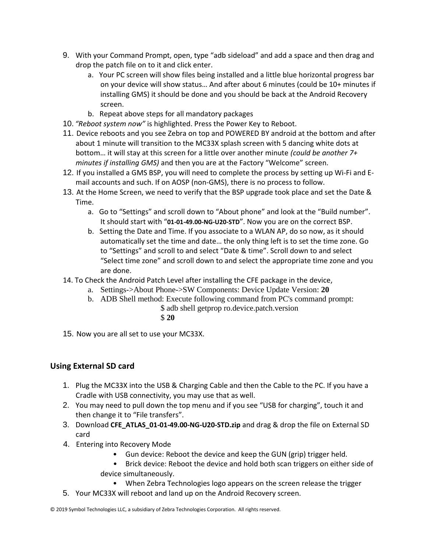- 9. With your Command Prompt, open, type "adb sideload" and add a space and then drag and drop the patch file on to it and click enter.
	- a. Your PC screen will show files being installed and a little blue horizontal progress bar on your device will show status… And after about 6 minutes (could be 10+ minutes if installing GMS) it should be done and you should be back at the Android Recovery screen.
	- b. Repeat above steps for all mandatory packages
- 10. *"Reboot system now"* is highlighted. Press the Power Key to Reboot.
- 11. Device reboots and you see Zebra on top and POWERED BY android at the bottom and after about 1 minute will transition to the MC33X splash screen with 5 dancing white dots at bottom… it will stay at this screen for a little over another minute *(could be another 7+ minutes if installing GMS)* and then you are at the Factory "Welcome" screen.
- 12. If you installed a GMS BSP, you will need to complete the process by setting up Wi‐Fi and E‐ mail accounts and such. If on AOSP (non‐GMS), there is no process to follow.
- 13. At the Home Screen, we need to verify that the BSP upgrade took place and set the Date & Time.
	- a. Go to "Settings" and scroll down to "About phone" and look at the "Build number". It should start with "**01-01-49.00-NG-U20-STD**". Now you are on the correct BSP.
	- b. Setting the Date and Time. If you associate to a WLAN AP, do so now, as it should automatically set the time and date… the only thing left is to set the time zone. Go to "Settings" and scroll to and select "Date & time". Scroll down to and select "Select time zone" and scroll down to and select the appropriate time zone and you are done.
- 14. To Check the Android Patch Level after installing the CFE package in the device,
	- a. Settings->About Phone->SW Components: Device Update Version: **20**
	- b. ADB Shell method: Execute following command from PC's command prompt:
		- \$ adb shell getprop ro.device.patch.version
			- \$ **20**
- 15. Now you are all set to use your MC33X.

## **Using External SD card**

- 1. Plug the MC33X into the USB & Charging Cable and then the Cable to the PC. If you have a Cradle with USB connectivity, you may use that as well.
- 2. You may need to pull down the top menu and if you see "USB for charging", touch it and then change it to "File transfers".
- 3. Download **CFE\_ATLAS\_01-01-49.00-NG-U20-STD.zip** and drag & drop the file on External SD card
- 4. Entering into Recovery Mode
	- Gun device: Reboot the device and keep the GUN (grip) trigger held.
	- Brick device: Reboot the device and hold both scan triggers on either side of device simultaneously.
		- When Zebra Technologies logo appears on the screen release the trigger
- 5. Your MC33X will reboot and land up on the Android Recovery screen.